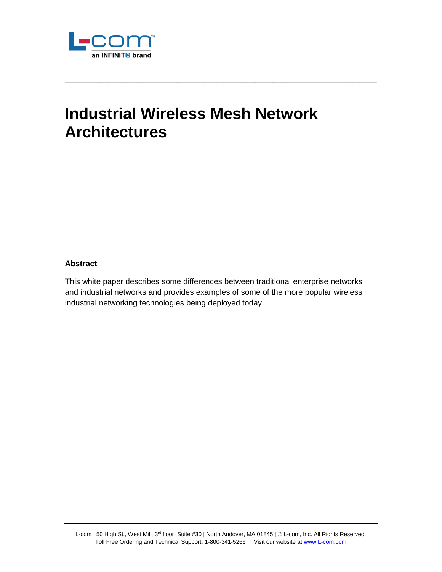

# **Industrial Wireless Mesh Network Architectures**

\_\_\_\_\_\_\_\_\_\_\_\_\_\_\_\_\_\_\_\_\_\_\_\_\_\_\_\_\_\_\_\_\_\_\_\_\_\_\_\_\_\_\_\_\_\_\_\_\_\_\_\_\_\_\_\_\_\_\_\_\_\_\_\_\_\_\_\_\_\_\_\_

#### **Abstract**

This white paper describes some differences between traditional enterprise networks and industrial networks and provides examples of some of the more popular wireless industrial networking technologies being deployed today.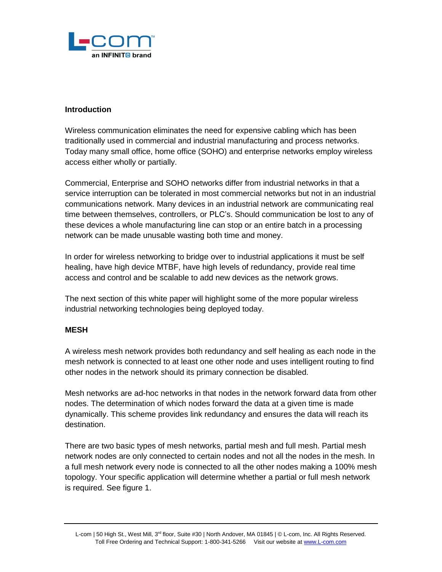

#### **Introduction**

Wireless communication eliminates the need for expensive cabling which has been traditionally used in commercial and industrial manufacturing and process networks. Today many small office, home office (SOHO) and enterprise networks employ wireless access either wholly or partially.

Commercial, Enterprise and SOHO networks differ from industrial networks in that a service interruption can be tolerated in most commercial networks but not in an industrial communications network. Many devices in an industrial network are communicating real time between themselves, controllers, or PLC's. Should communication be lost to any of these devices a whole manufacturing line can stop or an entire batch in a processing network can be made unusable wasting both time and money.

In order for wireless networking to bridge over to industrial applications it must be self healing, have high device MTBF, have high levels of redundancy, provide real time access and control and be scalable to add new devices as the network grows.

The next section of this white paper will highlight some of the more popular wireless industrial networking technologies being deployed today.

## **MESH**

A wireless mesh network provides both redundancy and self healing as each node in the mesh network is connected to at least one other node and uses intelligent routing to find other nodes in the network should its primary connection be disabled.

Mesh networks are ad-hoc networks in that nodes in the network forward data from other nodes. The determination of which nodes forward the data at a given time is made dynamically. This scheme provides link redundancy and ensures the data will reach its destination.

There are two basic types of mesh networks, partial mesh and full mesh. Partial mesh network nodes are only connected to certain nodes and not all the nodes in the mesh. In a full mesh network every node is connected to all the other nodes making a 100% mesh topology. Your specific application will determine whether a partial or full mesh network is required. See figure 1.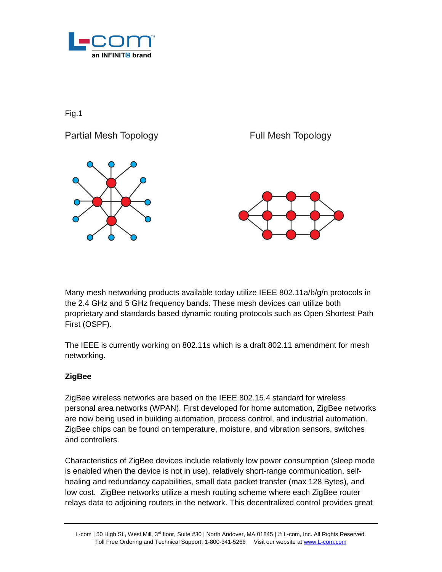

Fig.1



Many mesh networking products available today utilize IEEE 802.11a/b/g/n protocols in the 2.4 GHz and 5 GHz frequency bands. These mesh devices can utilize both proprietary and standards based dynamic routing protocols such as Open Shortest Path First (OSPF).

The IEEE is currently working on 802.11s which is a draft 802.11 amendment for mesh networking.

## **ZigBee**

ZigBee wireless networks are based on the IEEE 802.15.4 standard for wireless personal area networks (WPAN). First developed for home automation, ZigBee networks are now being used in building automation, process control, and industrial automation. ZigBee chips can be found on temperature, moisture, and vibration sensors, switches and controllers.

Characteristics of ZigBee devices include relatively low power consumption (sleep mode is enabled when the device is not in use), relatively short-range communication, selfhealing and redundancy capabilities, small data packet transfer (max 128 Bytes), and low cost. ZigBee networks utilize a mesh routing scheme where each ZigBee router relays data to adjoining routers in the network. This decentralized control provides great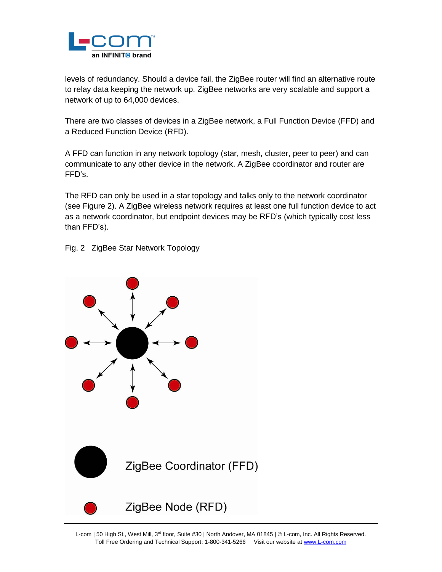

levels of redundancy. Should a device fail, the ZigBee router will find an alternative route to relay data keeping the network up. ZigBee networks are very scalable and support a network of up to 64,000 devices.

There are two classes of devices in a ZigBee network, a Full Function Device (FFD) and a Reduced Function Device (RFD).

A FFD can function in any network topology (star, mesh, cluster, peer to peer) and can communicate to any other device in the network. A ZigBee coordinator and router are FFD's.

The RFD can only be used in a star topology and talks only to the network coordinator (see Figure 2). A ZigBee wireless network requires at least one full function device to act as a network coordinator, but endpoint devices may be RFD's (which typically cost less than FFD's).

Fig. 2 ZigBee Star Network Topology



L-com | 50 High St., West Mill, 3<sup>rd</sup> floor, Suite #30 | North Andover, MA 01845 | © L-com, Inc. All Rights Reserved. Toll Free Ordering and Technical Support: 1-800-341-5266 Visit our website at [www.L-com.com](http://www.l-com.com/)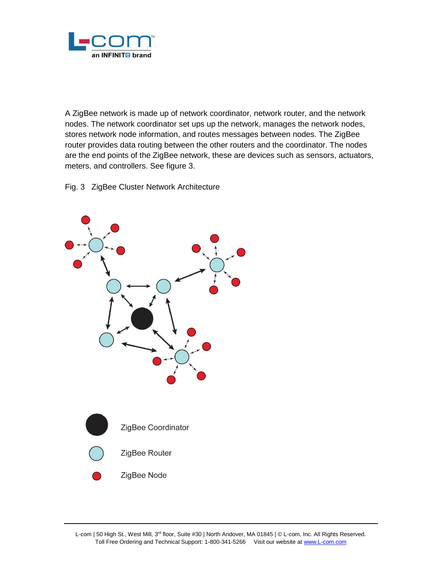

A ZigBee network is made up of network coordinator, network router, and the network nodes. The network coordinator set ups up the network, manages the network nodes, stores network node information, and routes messages between nodes. The ZigBee router provides data routing between the other routers and the coordinator. The nodes are the end points of the ZigBee network, these are devices such as sensors, actuators, meters, and controllers. See figure 3.

Fig. 3 ZigBee Cluster Network Architecture

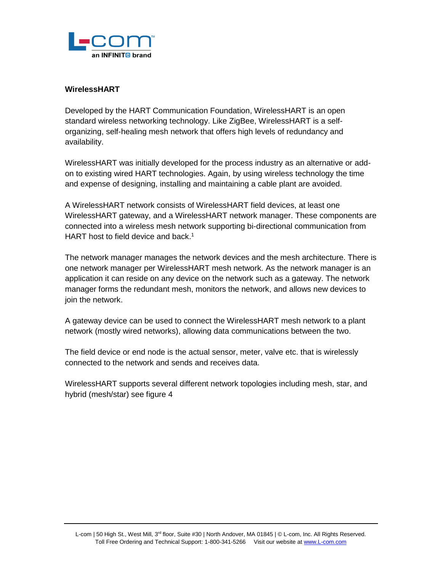

#### **WirelessHART**

Developed by the HART Communication Foundation, WirelessHART is an open standard wireless networking technology. Like ZigBee, WirelessHART is a selforganizing, self-healing mesh network that offers high levels of redundancy and availability.

WirelessHART was initially developed for the process industry as an alternative or addon to existing wired HART technologies. Again, by using wireless technology the time and expense of designing, installing and maintaining a cable plant are avoided.

A WirelessHART network consists of WirelessHART field devices, at least one WirelessHART gateway, and a WirelessHART network manager. These components are connected into a wireless mesh network supporting bi-directional communication from HART host to field device and back.<sup>1</sup>

The network manager manages the network devices and the mesh architecture. There is one network manager per WirelessHART mesh network. As the network manager is an application it can reside on any device on the network such as a gateway. The network manager forms the redundant mesh, monitors the network, and allows new devices to join the network.

A gateway device can be used to connect the WirelessHART mesh network to a plant network (mostly wired networks), allowing data communications between the two.

The field device or end node is the actual sensor, meter, valve etc. that is wirelessly connected to the network and sends and receives data.

WirelessHART supports several different network topologies including mesh, star, and hybrid (mesh/star) see figure 4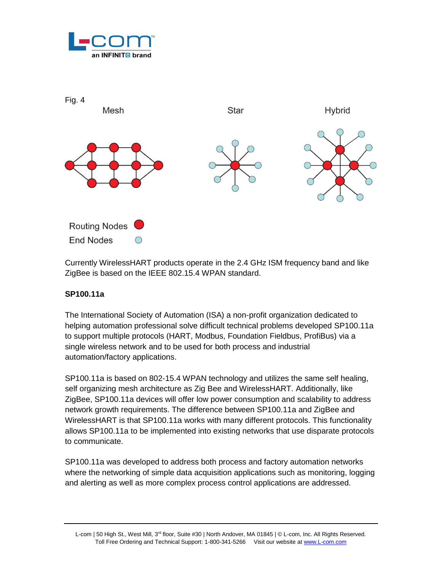



Currently WirelessHART products operate in the 2.4 GHz ISM frequency band and like ZigBee is based on the IEEE 802.15.4 WPAN standard.

## **SP100.11a**

The International Society of Automation (ISA) a non-profit organization dedicated to helping automation professional solve difficult technical problems developed SP100.11a to support multiple protocols (HART, Modbus, Foundation Fieldbus, ProfiBus) via a single wireless network and to be used for both process and industrial automation/factory applications.

SP100.11a is based on 802-15.4 WPAN technology and utilizes the same self healing, self organizing mesh architecture as Zig Bee and WirelessHART. Additionally, like ZigBee, SP100.11a devices will offer low power consumption and scalability to address network growth requirements. The difference between SP100.11a and ZigBee and WirelessHART is that SP100.11a works with many different protocols. This functionality allows SP100.11a to be implemented into existing networks that use disparate protocols to communicate.

SP100.11a was developed to address both process and factory automation networks where the networking of simple data acquisition applications such as monitoring, logging and alerting as well as more complex process control applications are addressed.

L-com | 50 High St., West Mill, 3<sup>rd</sup> floor, Suite #30 | North Andover, MA 01845 | © L-com, Inc. All Rights Reserved. Toll Free Ordering and Technical Support: 1-800-341-5266 Visit our website at [www.L-com.com](http://www.l-com.com/)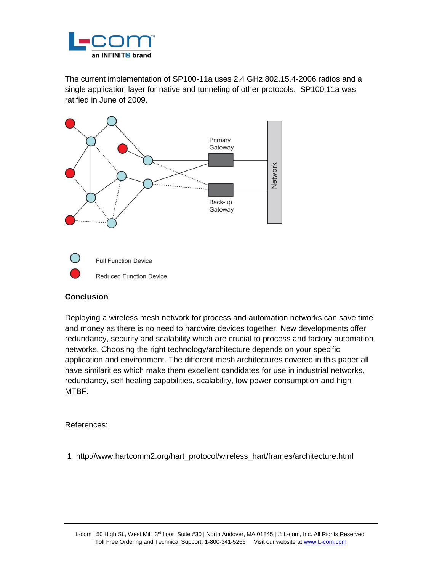

The current implementation of SP100-11a uses 2.4 GHz 802.15.4-2006 radios and a single application layer for native and tunneling of other protocols. SP100.11a was ratified in June of 2009.



## **Conclusion**

Deploying a wireless mesh network for process and automation networks can save time and money as there is no need to hardwire devices together. New developments offer redundancy, security and scalability which are crucial to process and factory automation networks. Choosing the right technology/architecture depends on your specific application and environment. The different mesh architectures covered in this paper all have similarities which make them excellent candidates for use in industrial networks, redundancy, self healing capabilities, scalability, low power consumption and high MTBF.

References:

1 http://www.hartcomm2.org/hart\_protocol/wireless\_hart/frames/architecture.html